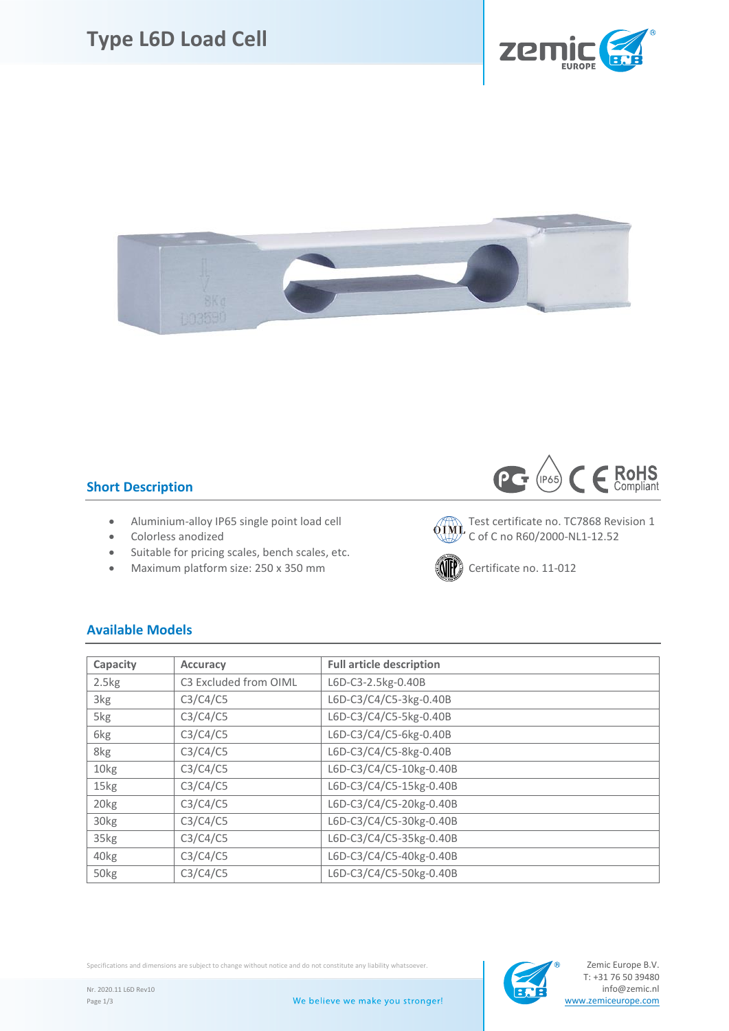# **Type L6D Load Cell**





### **Short Description**

- Aluminium-alloy IP65 single point load cell  $\sqrt{7}$  Test certificate no. TC7868 Revision 1
- 
- Suitable for pricing scales, bench scales, etc.
- Maximum platform size: 250 x 350 mm  $\left(\left(\left\| \mathbf{f} \right\| \right)$  Certificate no. 11-012



• Colorless anodized  $\overline{C}$  C of C no R60/2000-NL1-12.52



## **Available Models**

| Capacity         | <b>Accuracy</b>       | <b>Full article description</b> |
|------------------|-----------------------|---------------------------------|
| 2.5kg            | C3 Excluded from OIML | L6D-C3-2.5kg-0.40B              |
| 3kg              | C3/C4/C5              | L6D-C3/C4/C5-3kg-0.40B          |
| 5kg              | C3/C4/C5              | L6D-C3/C4/C5-5kg-0.40B          |
| 6kg              | C3/C4/C5              | L6D-C3/C4/C5-6kg-0.40B          |
| 8kg              | C3/C4/C5              | L6D-C3/C4/C5-8kg-0.40B          |
| 10kg             | C3/C4/C5              | L6D-C3/C4/C5-10kg-0.40B         |
| 15kg             | C3/C4/C5              | L6D-C3/C4/C5-15kg-0.40B         |
| 20 <sub>kg</sub> | C3/C4/C5              | L6D-C3/C4/C5-20kg-0.40B         |
| 30kg             | C3/C4/C5              | L6D-C3/C4/C5-30kg-0.40B         |
| 35kg             | C3/C4/C5              | L6D-C3/C4/C5-35kg-0.40B         |
| 40kg             | C3/C4/C5              | L6D-C3/C4/C5-40kg-0.40B         |
| 50kg             | C3/C4/C5              | L6D-C3/C4/C5-50kg-0.40B         |

Specifications and dimensions are subject to change without notice and do not constitute any liability whatsoever.

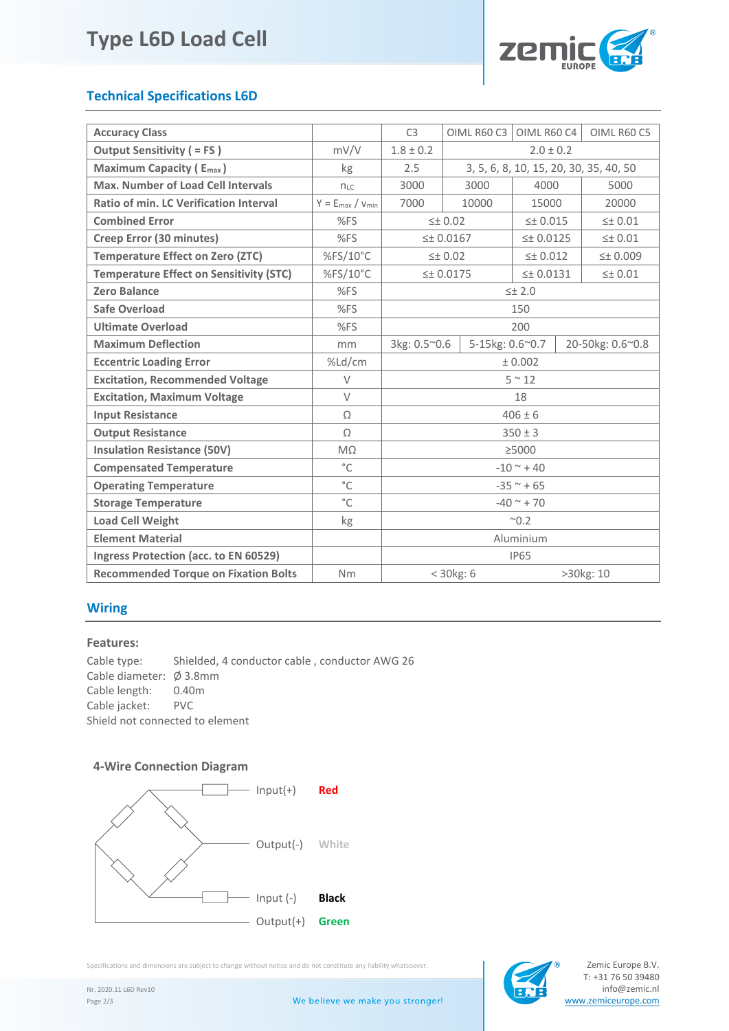# **Type L6D Load Cell**



## **Technical Specifications L6D**

| <b>Accuracy Class</b>                          |                         | C <sub>3</sub> | OIML R60 C3                            | OIML R60 C4         |                     | OIML R60 C5        |
|------------------------------------------------|-------------------------|----------------|----------------------------------------|---------------------|---------------------|--------------------|
| <b>Output Sensitivity ( = FS)</b>              | mV/V                    | $1.8 \pm 0.2$  | $2.0 \pm 0.2$                          |                     |                     |                    |
| <b>Maximum Capacity (Emax)</b>                 | kg                      | 2.5            | 3, 5, 6, 8, 10, 15, 20, 30, 35, 40, 50 |                     |                     |                    |
| <b>Max. Number of Load Cell Intervals</b>      | $n_{LC}$                | 3000           | 3000<br>4000                           |                     |                     | 5000               |
| Ratio of min. LC Verification Interval         | $Y = E_{max} / V_{min}$ | 7000           | 10000<br>15000                         |                     |                     | 20000              |
| <b>Combined Error</b>                          | %FS                     |                | $\leq$ $\pm$ 0.02                      | $\leq$ $\pm$ 0.015  |                     | $\leq$ $\pm$ 0.01  |
| Creep Error (30 minutes)                       | %FS                     |                | $\leq$ 0.0167                          |                     | $\leq$ $\pm$ 0.0125 | $\leq$ $\pm$ 0.01  |
| <b>Temperature Effect on Zero (ZTC)</b>        | %FS/10°C                |                | $\leq$ $\pm$ 0.02                      | $\leq$ $\pm$ 0.012  |                     | $\leq$ $\pm$ 0.009 |
| <b>Temperature Effect on Sensitivity (STC)</b> | %FS/10°C                |                | 5 ± 0.0175                             | $\leq$ $\pm$ 0.0131 |                     | $\leq$ $\pm$ 0.01  |
| <b>Zero Balance</b>                            | %FS                     |                | $\leq$ ± 2.0                           |                     |                     |                    |
| <b>Safe Overload</b>                           | %FS                     |                | 150                                    |                     |                     |                    |
| <b>Ultimate Overload</b>                       | %FS                     |                | 200                                    |                     |                     |                    |
| <b>Maximum Deflection</b>                      | mm                      | 3kg: 0.5~0.6   | 5-15kg: 0.6~0.7                        |                     | 20-50kg: 0.6~0.8    |                    |
| <b>Eccentric Loading Error</b>                 | %Ld/cm                  |                | ± 0.002                                |                     |                     |                    |
| <b>Excitation, Recommended Voltage</b>         | V                       | $5^{\sim}12$   |                                        |                     |                     |                    |
| <b>Excitation, Maximum Voltage</b>             | $\vee$                  | 18             |                                        |                     |                     |                    |
| <b>Input Resistance</b>                        | $\Omega$                | $406 \pm 6$    |                                        |                     |                     |                    |
| <b>Output Resistance</b>                       | Ω                       | $350 \pm 3$    |                                        |                     |                     |                    |
| <b>Insulation Resistance (50V)</b>             | $M\Omega$               |                | >5000                                  |                     |                     |                    |
| <b>Compensated Temperature</b>                 | $^{\circ}$ C            |                | $-10^{\circ}$ + 40                     |                     |                     |                    |
| <b>Operating Temperature</b>                   | $^{\circ}$ C            | $-35$ ~ + 65   |                                        |                     |                     |                    |
| <b>Storage Temperature</b>                     | $^{\circ}$ C            | $-40$ ~ + 70   |                                        |                     |                     |                    |
| <b>Load Cell Weight</b>                        | kg                      | $^{\sim}$ 0.2  |                                        |                     |                     |                    |
| <b>Element Material</b>                        |                         | Aluminium      |                                        |                     |                     |                    |
| Ingress Protection (acc. to EN 60529)          |                         | <b>IP65</b>    |                                        |                     |                     |                    |
| <b>Recommended Torque on Fixation Bolts</b>    | <b>Nm</b>               |                | $<$ 30 $kg:$ 6<br>>30kg: 10            |                     |                     |                    |

### **Wiring**

#### **Features:**

Cable type: Shielded, 4 conductor cable , conductor AWG 26 Cable diameter: Ø 3.8mm Cable length: 0.40m<br>Cable iacket: PVC Cable jacket: Shield not connected to element

### **4-Wire Connection Diagram**



Specifications and dimensions are subject to change without notice and do not constitute any liability whatsoever.